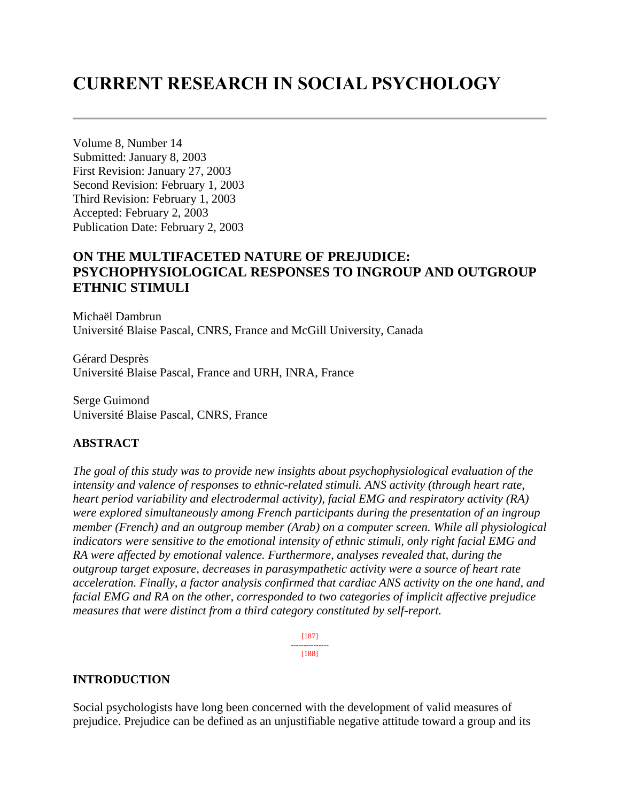# **CURRENT RESEARCH IN SOCIAL PSYCHOLOGY**

Volume 8, Number 14 Submitted: January 8, 2003 First Revision: January 27, 2003 Second Revision: February 1, 2003 Third Revision: February 1, 2003 Accepted: February 2, 2003 Publication Date: February 2, 2003

# **ON THE MULTIFACETED NATURE OF PREJUDICE: PSYCHOPHYSIOLOGICAL RESPONSES TO INGROUP AND OUTGROUP ETHNIC STIMULI**

Michaël Dambrun Université Blaise Pascal, CNRS, France and McGill University, Canada

Gérard Desprès Université Blaise Pascal, France and URH, INRA, France

Serge Guimond Université Blaise Pascal, CNRS, France

#### **ABSTRACT**

*The goal of this study was to provide new insights about psychophysiological evaluation of the intensity and valence of responses to ethnic-related stimuli. ANS activity (through heart rate, heart period variability and electrodermal activity), facial EMG and respiratory activity (RA) were explored simultaneously among French participants during the presentation of an ingroup member (French) and an outgroup member (Arab) on a computer screen. While all physiological indicators were sensitive to the emotional intensity of ethnic stimuli, only right facial EMG and RA were affected by emotional valence. Furthermore, analyses revealed that, during the outgroup target exposure, decreases in parasympathetic activity were a source of heart rate acceleration. Finally, a factor analysis confirmed that cardiac ANS activity on the one hand, and facial EMG and RA on the other, corresponded to two categories of implicit affective prejudice measures that were distinct from a third category constituted by self-report.*

> [187] --------------- [188]

#### **INTRODUCTION**

Social psychologists have long been concerned with the development of valid measures of prejudice. Prejudice can be defined as an unjustifiable negative attitude toward a group and its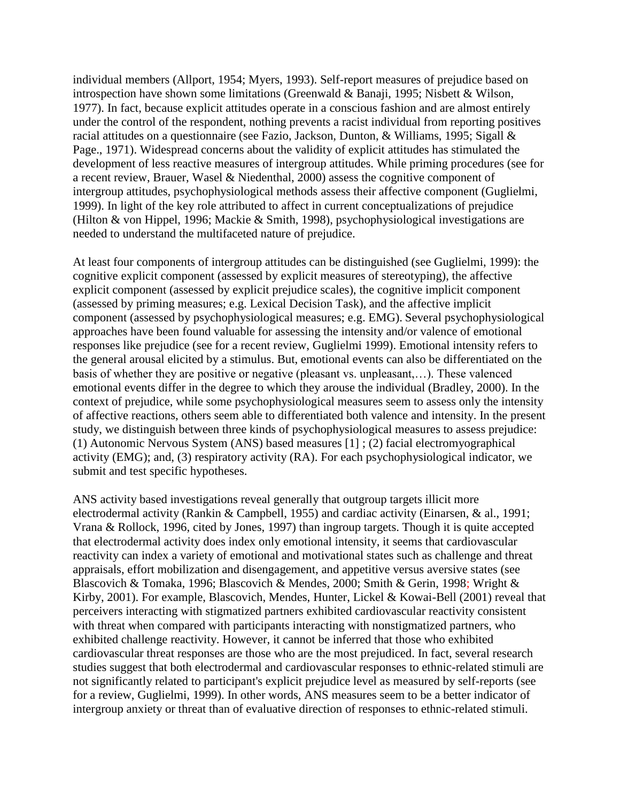individual members (Allport, 1954; Myers, 1993). Self-report measures of prejudice based on introspection have shown some limitations (Greenwald & Banaji, 1995; Nisbett & Wilson, 1977). In fact, because explicit attitudes operate in a conscious fashion and are almost entirely under the control of the respondent, nothing prevents a racist individual from reporting positives racial attitudes on a questionnaire (see Fazio, Jackson, Dunton, & Williams, 1995; Sigall & Page., 1971). Widespread concerns about the validity of explicit attitudes has stimulated the development of less reactive measures of intergroup attitudes. While priming procedures (see for a recent review, Brauer, Wasel & Niedenthal, 2000) assess the cognitive component of intergroup attitudes, psychophysiological methods assess their affective component (Guglielmi, 1999). In light of the key role attributed to affect in current conceptualizations of prejudice (Hilton & von Hippel, 1996; Mackie & Smith, 1998), psychophysiological investigations are needed to understand the multifaceted nature of prejudice.

At least four components of intergroup attitudes can be distinguished (see Guglielmi, 1999): the cognitive explicit component (assessed by explicit measures of stereotyping), the affective explicit component (assessed by explicit prejudice scales), the cognitive implicit component (assessed by priming measures; e.g. Lexical Decision Task), and the affective implicit component (assessed by psychophysiological measures; e.g. EMG). Several psychophysiological approaches have been found valuable for assessing the intensity and/or valence of emotional responses like prejudice (see for a recent review, Guglielmi 1999). Emotional intensity refers to the general arousal elicited by a stimulus. But, emotional events can also be differentiated on the basis of whether they are positive or negative (pleasant vs. unpleasant,…). These valenced emotional events differ in the degree to which they arouse the individual (Bradley, 2000). In the context of prejudice, while some psychophysiological measures seem to assess only the intensity of affective reactions, others seem able to differentiated both valence and intensity. In the present study, we distinguish between three kinds of psychophysiological measures to assess prejudice: (1) Autonomic Nervous System (ANS) based measures [1] ; (2) facial electromyographical activity (EMG); and, (3) respiratory activity (RA). For each psychophysiological indicator, we submit and test specific hypotheses.

ANS activity based investigations reveal generally that outgroup targets illicit more electrodermal activity (Rankin & Campbell, 1955) and cardiac activity (Einarsen, & al., 1991; Vrana & Rollock, 1996, cited by Jones, 1997) than ingroup targets. Though it is quite accepted that electrodermal activity does index only emotional intensity, it seems that cardiovascular reactivity can index a variety of emotional and motivational states such as challenge and threat appraisals, effort mobilization and disengagement, and appetitive versus aversive states (see Blascovich & Tomaka, 1996; Blascovich & Mendes, 2000; Smith & Gerin, 1998; Wright & Kirby, 2001). For example, Blascovich, Mendes, Hunter, Lickel & Kowai-Bell (2001) reveal that perceivers interacting with stigmatized partners exhibited cardiovascular reactivity consistent with threat when compared with participants interacting with nonstigmatized partners, who exhibited challenge reactivity. However, it cannot be inferred that those who exhibited cardiovascular threat responses are those who are the most prejudiced. In fact, several research studies suggest that both electrodermal and cardiovascular responses to ethnic-related stimuli are not significantly related to participant's explicit prejudice level as measured by self-reports (see for a review, Guglielmi, 1999). In other words, ANS measures seem to be a better indicator of intergroup anxiety or threat than of evaluative direction of responses to ethnic-related stimuli.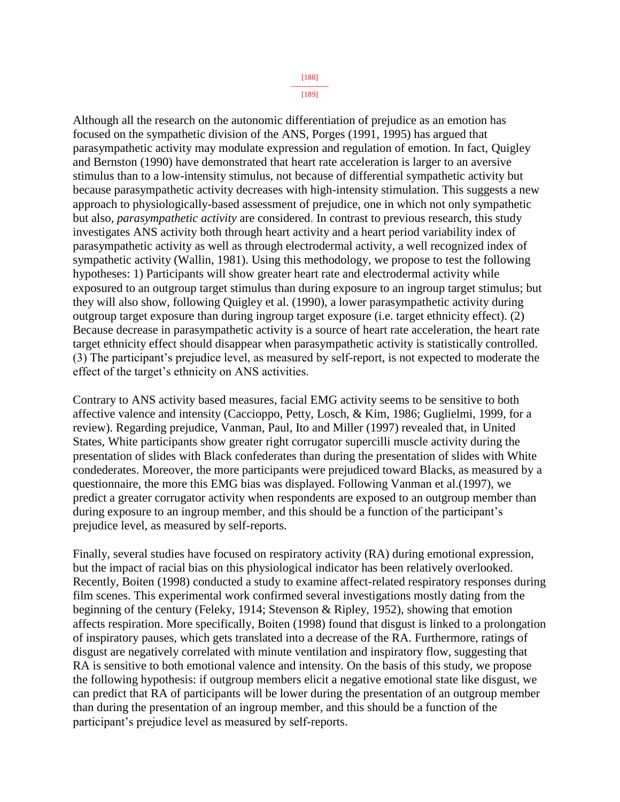[189]

Although all the research on the autonomic differentiation of prejudice as an emotion has focused on the sympathetic division of the ANS, Porges (1991, 1995) has argued that parasympathetic activity may modulate expression and regulation of emotion. In fact, Quigley and Bernston (1990) have demonstrated that heart rate acceleration is larger to an aversive stimulus than to a low-intensity stimulus, not because of differential sympathetic activity but because parasympathetic activity decreases with high-intensity stimulation. This suggests a new approach to physiologically-based assessment of prejudice, one in which not only sympathetic but also, *parasympathetic activity* are considered. In contrast to previous research, this study investigates ANS activity both through heart activity and a heart period variability index of parasympathetic activity as well as through electrodermal activity, a well recognized index of sympathetic activity (Wallin, 1981). Using this methodology, we propose to test the following hypotheses: 1) Participants will show greater heart rate and electrodermal activity while exposured to an outgroup target stimulus than during exposure to an ingroup target stimulus; but they will also show, following Quigley et al. (1990), a lower parasympathetic activity during outgroup target exposure than during ingroup target exposure (i.e. target ethnicity effect). (2) Because decrease in parasympathetic activity is a source of heart rate acceleration, the heart rate target ethnicity effect should disappear when parasympathetic activity is statistically controlled. (3) The participant's prejudice level, as measured by self-report, is not expected to moderate the effect of the target's ethnicity on ANS activities.

Contrary to ANS activity based measures, facial EMG activity seems to be sensitive to both affective valence and intensity (Caccioppo, Petty, Losch, & Kim, 1986; Guglielmi, 1999, for a review). Regarding prejudice, Vanman, Paul, Ito and Miller (1997) revealed that, in United States, White participants show greater right corrugator supercilli muscle activity during the presentation of slides with Black confederates than during the presentation of slides with White condederates. Moreover, the more participants were prejudiced toward Blacks, as measured by a questionnaire, the more this EMG bias was displayed. Following Vanman et al.(1997), we predict a greater corrugator activity when respondents are exposed to an outgroup member than during exposure to an ingroup member, and this should be a function of the participant's prejudice level, as measured by self-reports.

Finally, several studies have focused on respiratory activity (RA) during emotional expression, but the impact of racial bias on this physiological indicator has been relatively overlooked. Recently, Boiten (1998) conducted a study to examine affect-related respiratory responses during film scenes. This experimental work confirmed several investigations mostly dating from the beginning of the century (Feleky, 1914; Stevenson & Ripley, 1952), showing that emotion affects respiration. More specifically, Boiten (1998) found that disgust is linked to a prolongation of inspiratory pauses, which gets translated into a decrease of the RA. Furthermore, ratings of disgust are negatively correlated with minute ventilation and inspiratory flow, suggesting that RA is sensitive to both emotional valence and intensity. On the basis of this study, we propose the following hypothesis: if outgroup members elicit a negative emotional state like disgust, we can predict that RA of participants will be lower during the presentation of an outgroup member than during the presentation of an ingroup member, and this should be a function of the participant's prejudice level as measured by self-reports.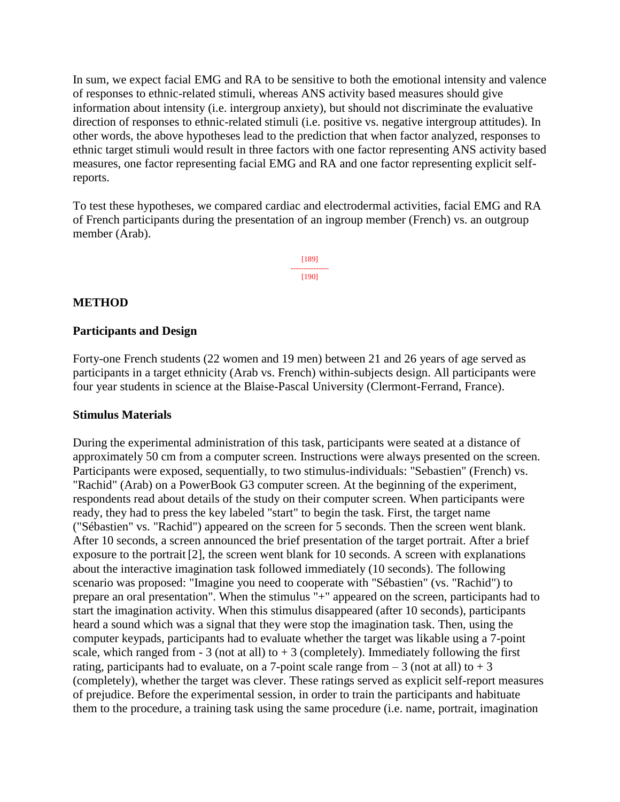In sum, we expect facial EMG and RA to be sensitive to both the emotional intensity and valence of responses to ethnic-related stimuli, whereas ANS activity based measures should give information about intensity (i.e. intergroup anxiety), but should not discriminate the evaluative direction of responses to ethnic-related stimuli (i.e. positive vs. negative intergroup attitudes). In other words, the above hypotheses lead to the prediction that when factor analyzed, responses to ethnic target stimuli would result in three factors with one factor representing ANS activity based measures, one factor representing facial EMG and RA and one factor representing explicit selfreports.

To test these hypotheses, we compared cardiac and electrodermal activities, facial EMG and RA of French participants during the presentation of an ingroup member (French) vs. an outgroup member (Arab).

> [189] --------------- [190]

### **METHOD**

#### **Participants and Design**

Forty-one French students (22 women and 19 men) between 21 and 26 years of age served as participants in a target ethnicity (Arab vs. French) within-subjects design. All participants were four year students in science at the Blaise-Pascal University (Clermont-Ferrand, France).

#### **Stimulus Materials**

During the experimental administration of this task, participants were seated at a distance of approximately 50 cm from a computer screen. Instructions were always presented on the screen. Participants were exposed, sequentially, to two stimulus-individuals: "Sebastien" (French) vs. "Rachid" (Arab) on a PowerBook G3 computer screen. At the beginning of the experiment, respondents read about details of the study on their computer screen. When participants were ready, they had to press the key labeled "start" to begin the task. First, the target name ("Sébastien" vs. "Rachid") appeared on the screen for 5 seconds. Then the screen went blank. After 10 seconds, a screen announced the brief presentation of the target portrait. After a brief exposure to the portrait [2], the screen went blank for 10 seconds. A screen with explanations about the interactive imagination task followed immediately (10 seconds). The following scenario was proposed: "Imagine you need to cooperate with "Sébastien" (vs. "Rachid") to prepare an oral presentation". When the stimulus "+" appeared on the screen, participants had to start the imagination activity. When this stimulus disappeared (after 10 seconds), participants heard a sound which was a signal that they were stop the imagination task. Then, using the computer keypads, participants had to evaluate whether the target was likable using a 7-point scale, which ranged from  $-3$  (not at all) to  $+3$  (completely). Immediately following the first rating, participants had to evaluate, on a 7-point scale range from  $-3$  (not at all) to  $+3$ (completely), whether the target was clever. These ratings served as explicit self-report measures of prejudice. Before the experimental session, in order to train the participants and habituate them to the procedure, a training task using the same procedure (i.e. name, portrait, imagination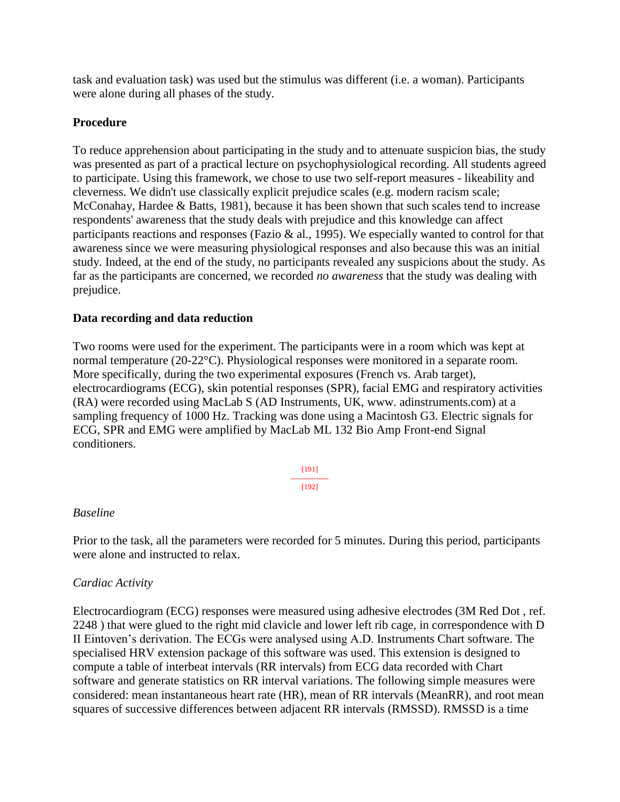task and evaluation task) was used but the stimulus was different (i.e. a woman). Participants were alone during all phases of the study.

### **Procedure**

To reduce apprehension about participating in the study and to attenuate suspicion bias, the study was presented as part of a practical lecture on psychophysiological recording. All students agreed to participate. Using this framework, we chose to use two self-report measures - likeability and cleverness. We didn't use classically explicit prejudice scales (e.g. modern racism scale; McConahay, Hardee & Batts, 1981), because it has been shown that such scales tend to increase respondents' awareness that the study deals with prejudice and this knowledge can affect participants reactions and responses (Fazio & al., 1995). We especially wanted to control for that awareness since we were measuring physiological responses and also because this was an initial study. Indeed, at the end of the study, no participants revealed any suspicions about the study. As far as the participants are concerned, we recorded *no awareness* that the study was dealing with prejudice.

### **Data recording and data reduction**

Two rooms were used for the experiment. The participants were in a room which was kept at normal temperature (20-22°C). Physiological responses were monitored in a separate room. More specifically, during the two experimental exposures (French vs. Arab target), electrocardiograms (ECG), skin potential responses (SPR), facial EMG and respiratory activities (RA) were recorded using MacLab S (AD Instruments, UK, www. adinstruments.com) at a sampling frequency of 1000 Hz. Tracking was done using a Macintosh G3. Electric signals for ECG, SPR and EMG were amplified by MacLab ML 132 Bio Amp Front-end Signal conditioners.

> [191] --------------- [192]

#### *Baseline*

Prior to the task, all the parameters were recorded for 5 minutes. During this period, participants were alone and instructed to relax.

# *Cardiac Activity*

Electrocardiogram (ECG) responses were measured using adhesive electrodes (3M Red Dot , ref. 2248 ) that were glued to the right mid clavicle and lower left rib cage, in correspondence with D II Eintoven's derivation. The ECGs were analysed using A.D. Instruments Chart software. The specialised HRV extension package of this software was used. This extension is designed to compute a table of interbeat intervals (RR intervals) from ECG data recorded with Chart software and generate statistics on RR interval variations. The following simple measures were considered: mean instantaneous heart rate (HR), mean of RR intervals (MeanRR), and root mean squares of successive differences between adjacent RR intervals (RMSSD). RMSSD is a time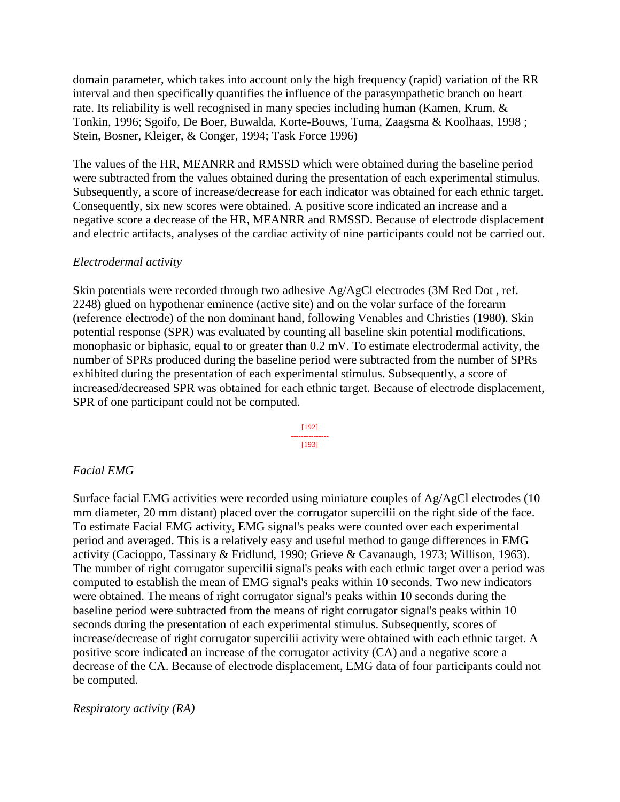domain parameter, which takes into account only the high frequency (rapid) variation of the RR interval and then specifically quantifies the influence of the parasympathetic branch on heart rate. Its reliability is well recognised in many species including human (Kamen, Krum, & Tonkin, 1996; Sgoifo, De Boer, Buwalda, Korte-Bouws, Tuma, Zaagsma & Koolhaas, 1998 ; Stein, Bosner, Kleiger, & Conger, 1994; Task Force 1996)

The values of the HR, MEANRR and RMSSD which were obtained during the baseline period were subtracted from the values obtained during the presentation of each experimental stimulus. Subsequently, a score of increase/decrease for each indicator was obtained for each ethnic target. Consequently, six new scores were obtained. A positive score indicated an increase and a negative score a decrease of the HR, MEANRR and RMSSD. Because of electrode displacement and electric artifacts, analyses of the cardiac activity of nine participants could not be carried out.

### *Electrodermal activity*

Skin potentials were recorded through two adhesive  $Ag/AgCl$  electrodes (3M Red Dot, ref. 2248) glued on hypothenar eminence (active site) and on the volar surface of the forearm (reference electrode) of the non dominant hand, following Venables and Christies (1980). Skin potential response (SPR) was evaluated by counting all baseline skin potential modifications, monophasic or biphasic, equal to or greater than 0.2 mV. To estimate electrodermal activity, the number of SPRs produced during the baseline period were subtracted from the number of SPRs exhibited during the presentation of each experimental stimulus. Subsequently, a score of increased/decreased SPR was obtained for each ethnic target. Because of electrode displacement, SPR of one participant could not be computed.



#### *Facial EMG*

Surface facial EMG activities were recorded using miniature couples of Ag/AgCl electrodes (10 mm diameter, 20 mm distant) placed over the corrugator supercilii on the right side of the face. To estimate Facial EMG activity, EMG signal's peaks were counted over each experimental period and averaged. This is a relatively easy and useful method to gauge differences in EMG activity (Cacioppo, Tassinary & Fridlund, 1990; Grieve & Cavanaugh, 1973; Willison, 1963). The number of right corrugator supercilii signal's peaks with each ethnic target over a period was computed to establish the mean of EMG signal's peaks within 10 seconds. Two new indicators were obtained. The means of right corrugator signal's peaks within 10 seconds during the baseline period were subtracted from the means of right corrugator signal's peaks within 10 seconds during the presentation of each experimental stimulus. Subsequently, scores of increase/decrease of right corrugator supercilii activity were obtained with each ethnic target. A positive score indicated an increase of the corrugator activity (CA) and a negative score a decrease of the CA. Because of electrode displacement, EMG data of four participants could not be computed.

#### *Respiratory activity (RA)*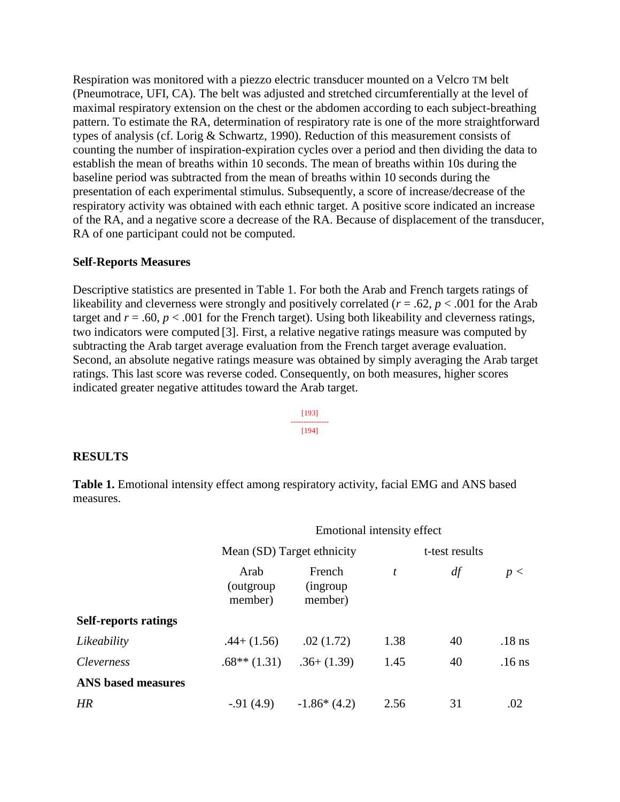Respiration was monitored with a piezzo electric transducer mounted on a Velcro TM belt (Pneumotrace, UFI, CA). The belt was adjusted and stretched circumferentially at the level of maximal respiratory extension on the chest or the abdomen according to each subject-breathing pattern. To estimate the RA, determination of respiratory rate is one of the more straightforward types of analysis (cf. Lorig & Schwartz, 1990). Reduction of this measurement consists of counting the number of inspiration-expiration cycles over a period and then dividing the data to establish the mean of breaths within 10 seconds. The mean of breaths within 10s during the baseline period was subtracted from the mean of breaths within 10 seconds during the presentation of each experimental stimulus. Subsequently, a score of increase/decrease of the respiratory activity was obtained with each ethnic target. A positive score indicated an increase of the RA, and a negative score a decrease of the RA. Because of displacement of the transducer, RA of one participant could not be computed.

#### **Self-Reports Measures**

Descriptive statistics are presented in Table 1. For both the Arab and French targets ratings of likeability and cleverness were strongly and positively correlated ( $r = .62$ ,  $p < .001$  for the Arab target and  $r = .60$ ,  $p < .001$  for the French target). Using both likeability and cleverness ratings, two indicators were computed [3]. First, a relative negative ratings measure was computed by subtracting the Arab target average evaluation from the French target average evaluation. Second, an absolute negative ratings measure was obtained by simply averaging the Arab target ratings. This last score was reverse coded. Consequently, on both measures, higher scores indicated greater negative attitudes toward the Arab target.

> [193] --------------- [194]

#### **RESULTS**

**Table 1.** Emotional intensity effect among respiratory activity, facial EMG and ANS based measures.

|                             | Emotional intensity effect    |                                       |      |    |          |  |
|-----------------------------|-------------------------------|---------------------------------------|------|----|----------|--|
|                             | Mean (SD) Target ethnicity    | t-test results                        |      |    |          |  |
|                             | Arab<br>(outgroup)<br>member) | French<br><i>(ingroup)</i><br>member) | t    | df | p <      |  |
| <b>Self-reports ratings</b> |                               |                                       |      |    |          |  |
| Likeability                 | $.44 + (1.56)$                | .02(1.72)                             | 1.38 | 40 | $.18$ ns |  |
| <i>Cleverness</i>           | $.68**$ (1.31)                | $.36+(1.39)$                          | 1.45 | 40 | $.16$ ns |  |
| <b>ANS</b> based measures   |                               |                                       |      |    |          |  |
| HR                          | $-.91(4.9)$                   | $-1.86*(4.2)$                         | 2.56 | 31 | .02      |  |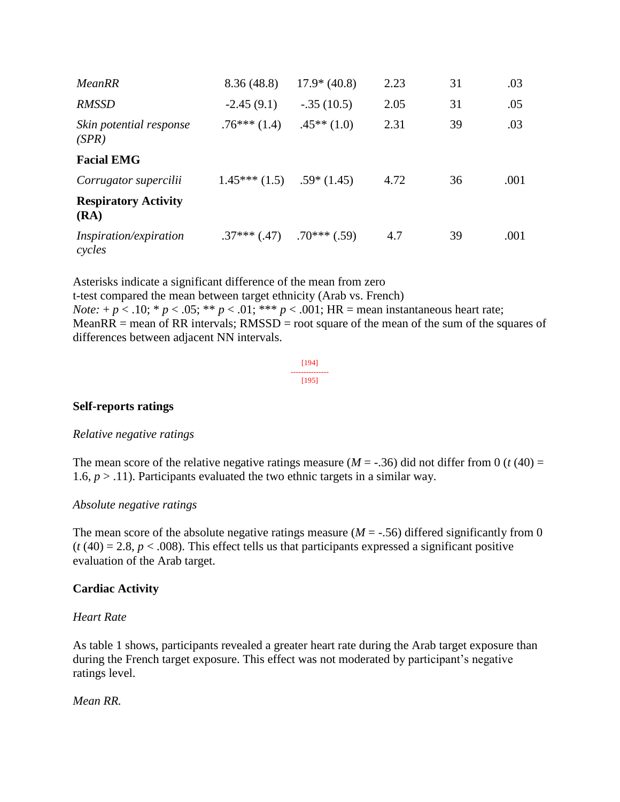| MeanRR                              | 8.36(48.8)                 | $17.9* (40.8)$ | 2.23 | 31 | .03  |
|-------------------------------------|----------------------------|----------------|------|----|------|
| <b>RMSSD</b>                        | $-2.45(9.1)$               | $-.35(10.5)$   | 2.05 | 31 | .05  |
| Skin potential response<br>(SPR)    | $.76***(1.4)$              | $.45**(1.0)$   | 2.31 | 39 | .03  |
| <b>Facial EMG</b>                   |                            |                |      |    |      |
| Corrugator supercilii               | $1.45***(1.5)$ .59* (1.45) |                | 4.72 | 36 | .001 |
| <b>Respiratory Activity</b><br>(RA) |                            |                |      |    |      |
| Inspiration/expiration<br>cycles    | $.37***$ $(.47)$           | $.70***$ (.59) | 4.7  | 39 | .001 |

Asterisks indicate a significant difference of the mean from zero t-test compared the mean between target ethnicity (Arab vs. French) *Note:* +  $p < .10$ ; \*  $p < .05$ ; \*\*  $p < .01$ ; \*\*\*  $p < .001$ ; HR = mean instantaneous heart rate; MeanRR = mean of RR intervals;  $RMSSD$  = root square of the mean of the sum of the squares of differences between adjacent NN intervals.

[194] --------------- [195]

#### **Self-reports ratings**

#### *Relative negative ratings*

The mean score of the relative negative ratings measure ( $M = -.36$ ) did not differ from 0 ( $t$  (40) = 1.6,  $p > 0.11$ ). Participants evaluated the two ethnic targets in a similar way.

#### *Absolute negative ratings*

The mean score of the absolute negative ratings measure  $(M = -.56)$  differed significantly from 0  $(t(40) = 2.8, p < .008)$ . This effect tells us that participants expressed a significant positive evaluation of the Arab target.

#### **Cardiac Activity**

#### *Heart Rate*

As table 1 shows, participants revealed a greater heart rate during the Arab target exposure than during the French target exposure. This effect was not moderated by participant's negative ratings level.

#### *Mean RR.*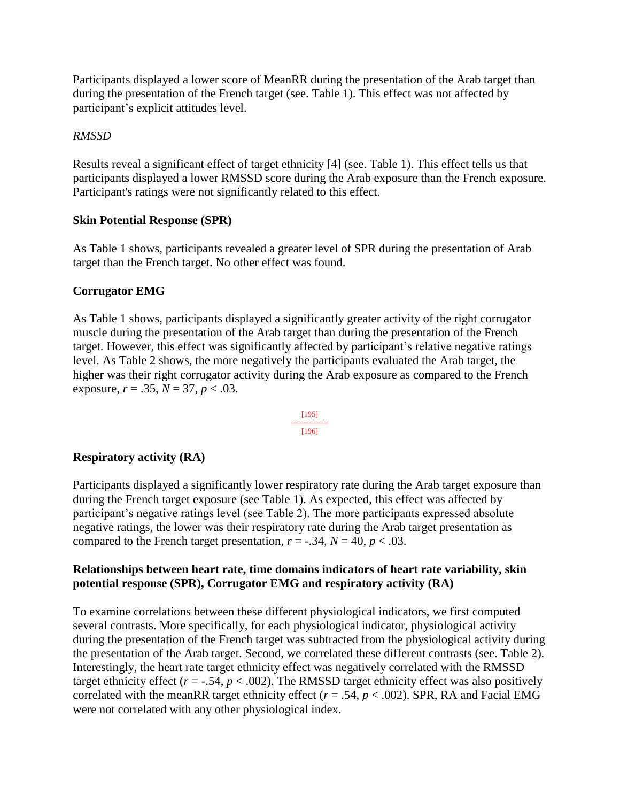Participants displayed a lower score of MeanRR during the presentation of the Arab target than during the presentation of the French target (see. Table 1). This effect was not affected by participant's explicit attitudes level.

# *RMSSD*

Results reveal a significant effect of target ethnicity [4] (see. Table 1). This effect tells us that participants displayed a lower RMSSD score during the Arab exposure than the French exposure. Participant's ratings were not significantly related to this effect.

# **Skin Potential Response (SPR)**

As Table 1 shows, participants revealed a greater level of SPR during the presentation of Arab target than the French target. No other effect was found.

# **Corrugator EMG**

As Table 1 shows, participants displayed a significantly greater activity of the right corrugator muscle during the presentation of the Arab target than during the presentation of the French target. However, this effect was significantly affected by participant's relative negative ratings level. As Table 2 shows, the more negatively the participants evaluated the Arab target, the higher was their right corrugator activity during the Arab exposure as compared to the French exposure,  $r = .35$ ,  $N = 37$ ,  $p < .03$ .

$$
\begin{array}{c}\n[195] \\
[-2.0em] \hline\n[196]\n\end{array}
$$

# **Respiratory activity (RA)**

Participants displayed a significantly lower respiratory rate during the Arab target exposure than during the French target exposure (see Table 1). As expected, this effect was affected by participant's negative ratings level (see Table 2). The more participants expressed absolute negative ratings, the lower was their respiratory rate during the Arab target presentation as compared to the French target presentation,  $r = -.34$ ,  $N = 40$ ,  $p < .03$ .

# **Relationships between heart rate, time domains indicators of heart rate variability, skin potential response (SPR), Corrugator EMG and respiratory activity (RA)**

To examine correlations between these different physiological indicators, we first computed several contrasts. More specifically, for each physiological indicator, physiological activity during the presentation of the French target was subtracted from the physiological activity during the presentation of the Arab target. Second, we correlated these different contrasts (see. Table 2). Interestingly, the heart rate target ethnicity effect was negatively correlated with the RMSSD target ethnicity effect ( $r = -.54$ ,  $p < .002$ ). The RMSSD target ethnicity effect was also positively correlated with the meanRR target ethnicity effect ( $r = .54$ ,  $p < .002$ ). SPR, RA and Facial EMG were not correlated with any other physiological index.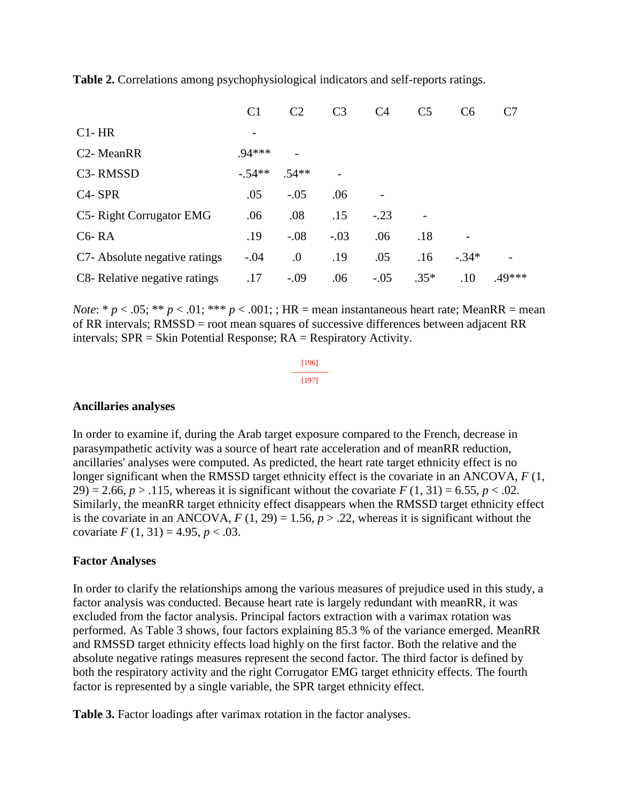**Table 2.** Correlations among psychophysiological indicators and self-reports ratings.

|                                   | C <sub>1</sub> | C2         | C <sub>3</sub> | C <sub>4</sub> | C <sub>5</sub> | C <sub>6</sub> | C7     |
|-----------------------------------|----------------|------------|----------------|----------------|----------------|----------------|--------|
| $Cl-HR$                           |                |            |                |                |                |                |        |
| C <sub>2</sub> - MeanRR           | .94***         |            |                |                |                |                |        |
| C <sub>3</sub> -RMS <sub>SD</sub> | $-54**$        | $.54**$    |                |                |                |                |        |
| C <sub>4</sub> -SPR               | .05            | $-.05$     | .06            |                |                |                |        |
| C5- Right Corrugator EMG          | .06            | .08        | .15            | $-.23$         |                |                |        |
| $C6 - RA$                         | .19            | $-.08$     | $-.03$         | .06            | .18            |                |        |
| C7- Absolute negative ratings     | $-.04$         | $\Omega$ . | .19            | .05            | .16            | $-.34*$        |        |
| C8- Relative negative ratings     | .17            | $-.09$     | .06            | $-.05$         | $.35*$         | .10            | .49*** |

*Note*: \*  $p < .05$ ; \*\*  $p < .01$ ; \*\*\*  $p < .001$ ; ; HR = mean instantaneous heart rate; MeanRR = mean of RR intervals; RMSSD = root mean squares of successive differences between adjacent RR intervals; SPR = Skin Potential Response; RA = Respiratory Activity.

> [196] --------------- [197]

#### **Ancillaries analyses**

In order to examine if, during the Arab target exposure compared to the French, decrease in parasympathetic activity was a source of heart rate acceleration and of meanRR reduction, ancillaries' analyses were computed. As predicted, the heart rate target ethnicity effect is no longer significant when the RMSSD target ethnicity effect is the covariate in an ANCOVA, *F* (1, 29) = 2.66,  $p > 0.115$ , whereas it is significant without the covariate  $F(1, 31) = 6.55$ ,  $p < 0.02$ . Similarly, the meanRR target ethnicity effect disappears when the RMSSD target ethnicity effect is the covariate in an ANCOVA,  $F(1, 29) = 1.56$ ,  $p > .22$ , whereas it is significant without the covariate  $F(1, 31) = 4.95, p < .03$ .

#### **Factor Analyses**

In order to clarify the relationships among the various measures of prejudice used in this study, a factor analysis was conducted. Because heart rate is largely redundant with meanRR, it was excluded from the factor analysis. Principal factors extraction with a varimax rotation was performed. As Table 3 shows, four factors explaining 85.3 % of the variance emerged. MeanRR and RMSSD target ethnicity effects load highly on the first factor. Both the relative and the absolute negative ratings measures represent the second factor. The third factor is defined by both the respiratory activity and the right Corrugator EMG target ethnicity effects. The fourth factor is represented by a single variable, the SPR target ethnicity effect.

**Table 3.** Factor loadings after varimax rotation in the factor analyses.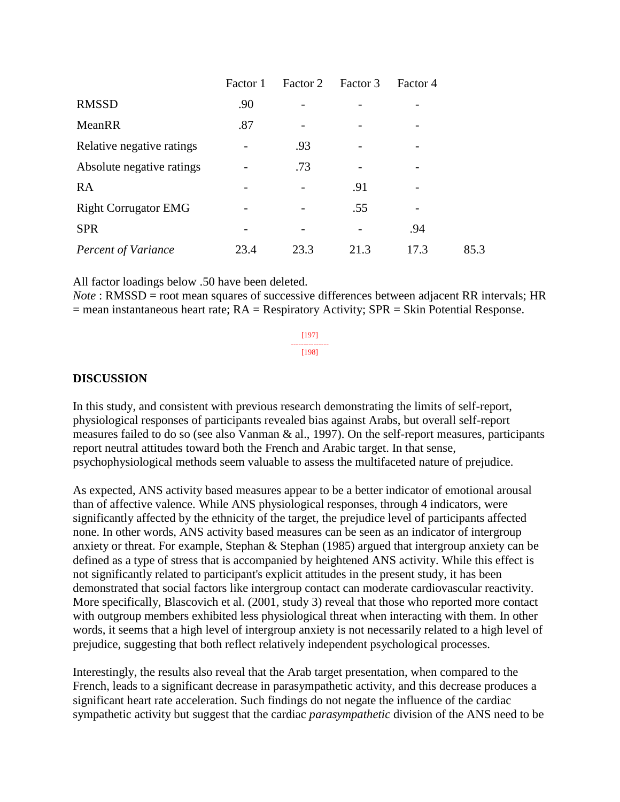|                             | Factor 1 | Factor 2 | Factor 3 | Factor 4 |      |
|-----------------------------|----------|----------|----------|----------|------|
| <b>RMSSD</b>                | .90      |          |          |          |      |
| MeanRR                      | .87      |          |          |          |      |
| Relative negative ratings   |          | .93      |          |          |      |
| Absolute negative ratings   |          | .73      |          |          |      |
| <b>RA</b>                   |          |          | .91      |          |      |
| <b>Right Corrugator EMG</b> |          |          | .55      |          |      |
| <b>SPR</b>                  |          |          |          | .94      |      |
| <b>Percent of Variance</b>  | 23.4     | 23.3     | 21.3     | 17.3     | 85.3 |

All factor loadings below .50 have been deleted.

*Note* : RMSSD = root mean squares of successive differences between adjacent RR intervals; HR  $=$  mean instantaneous heart rate;  $RA =$  Respiratory Activity;  $SPR =$  Skin Potential Response.

> [197] --------------- [198]

#### **DISCUSSION**

In this study, and consistent with previous research demonstrating the limits of self-report, physiological responses of participants revealed bias against Arabs, but overall self-report measures failed to do so (see also Vanman & al., 1997). On the self-report measures, participants report neutral attitudes toward both the French and Arabic target. In that sense, psychophysiological methods seem valuable to assess the multifaceted nature of prejudice.

As expected, ANS activity based measures appear to be a better indicator of emotional arousal than of affective valence. While ANS physiological responses, through 4 indicators, were significantly affected by the ethnicity of the target, the prejudice level of participants affected none. In other words, ANS activity based measures can be seen as an indicator of intergroup anxiety or threat. For example, Stephan & Stephan (1985) argued that intergroup anxiety can be defined as a type of stress that is accompanied by heightened ANS activity. While this effect is not significantly related to participant's explicit attitudes in the present study, it has been demonstrated that social factors like intergroup contact can moderate cardiovascular reactivity. More specifically, Blascovich et al. (2001, study 3) reveal that those who reported more contact with outgroup members exhibited less physiological threat when interacting with them. In other words, it seems that a high level of intergroup anxiety is not necessarily related to a high level of prejudice, suggesting that both reflect relatively independent psychological processes.

Interestingly, the results also reveal that the Arab target presentation, when compared to the French, leads to a significant decrease in parasympathetic activity, and this decrease produces a significant heart rate acceleration. Such findings do not negate the influence of the cardiac sympathetic activity but suggest that the cardiac *parasympathetic* division of the ANS need to be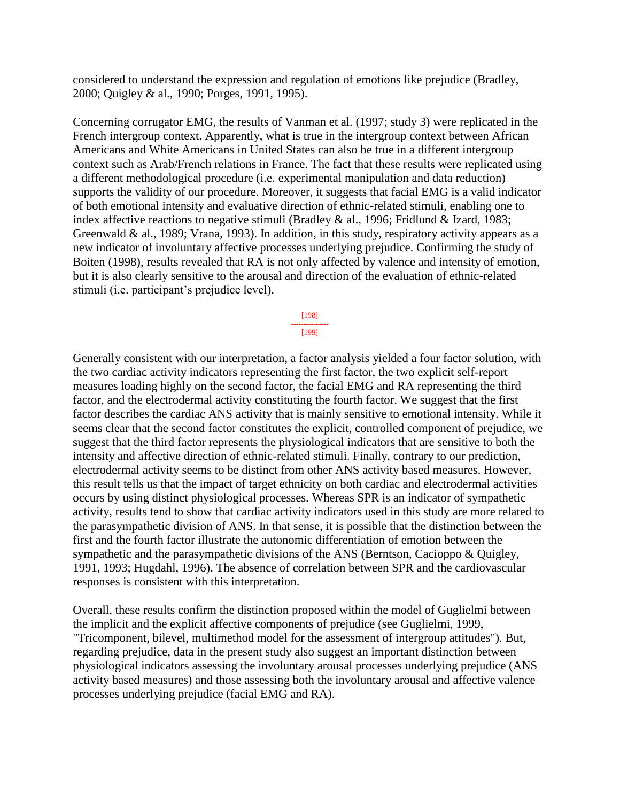considered to understand the expression and regulation of emotions like prejudice (Bradley, 2000; Quigley & al., 1990; Porges, 1991, 1995).

Concerning corrugator EMG, the results of Vanman et al. (1997; study 3) were replicated in the French intergroup context. Apparently, what is true in the intergroup context between African Americans and White Americans in United States can also be true in a different intergroup context such as Arab/French relations in France. The fact that these results were replicated using a different methodological procedure (i.e. experimental manipulation and data reduction) supports the validity of our procedure. Moreover, it suggests that facial EMG is a valid indicator of both emotional intensity and evaluative direction of ethnic-related stimuli, enabling one to index affective reactions to negative stimuli (Bradley & al., 1996; Fridlund & Izard, 1983; Greenwald & al., 1989; Vrana, 1993). In addition, in this study, respiratory activity appears as a new indicator of involuntary affective processes underlying prejudice. Confirming the study of Boiten (1998), results revealed that RA is not only affected by valence and intensity of emotion, but it is also clearly sensitive to the arousal and direction of the evaluation of ethnic-related stimuli (i.e. participant's prejudice level).

> [198] --------------- [199]

Generally consistent with our interpretation, a factor analysis yielded a four factor solution, with the two cardiac activity indicators representing the first factor, the two explicit self-report measures loading highly on the second factor, the facial EMG and RA representing the third factor, and the electrodermal activity constituting the fourth factor. We suggest that the first factor describes the cardiac ANS activity that is mainly sensitive to emotional intensity. While it seems clear that the second factor constitutes the explicit, controlled component of prejudice, we suggest that the third factor represents the physiological indicators that are sensitive to both the intensity and affective direction of ethnic-related stimuli. Finally, contrary to our prediction, electrodermal activity seems to be distinct from other ANS activity based measures. However, this result tells us that the impact of target ethnicity on both cardiac and electrodermal activities occurs by using distinct physiological processes. Whereas SPR is an indicator of sympathetic activity, results tend to show that cardiac activity indicators used in this study are more related to the parasympathetic division of ANS. In that sense, it is possible that the distinction between the first and the fourth factor illustrate the autonomic differentiation of emotion between the sympathetic and the parasympathetic divisions of the ANS (Berntson, Cacioppo & Quigley, 1991, 1993; Hugdahl, 1996). The absence of correlation between SPR and the cardiovascular responses is consistent with this interpretation.

Overall, these results confirm the distinction proposed within the model of Guglielmi between the implicit and the explicit affective components of prejudice (see Guglielmi, 1999, "Tricomponent, bilevel, multimethod model for the assessment of intergroup attitudes"). But, regarding prejudice, data in the present study also suggest an important distinction between physiological indicators assessing the involuntary arousal processes underlying prejudice (ANS activity based measures) and those assessing both the involuntary arousal and affective valence processes underlying prejudice (facial EMG and RA).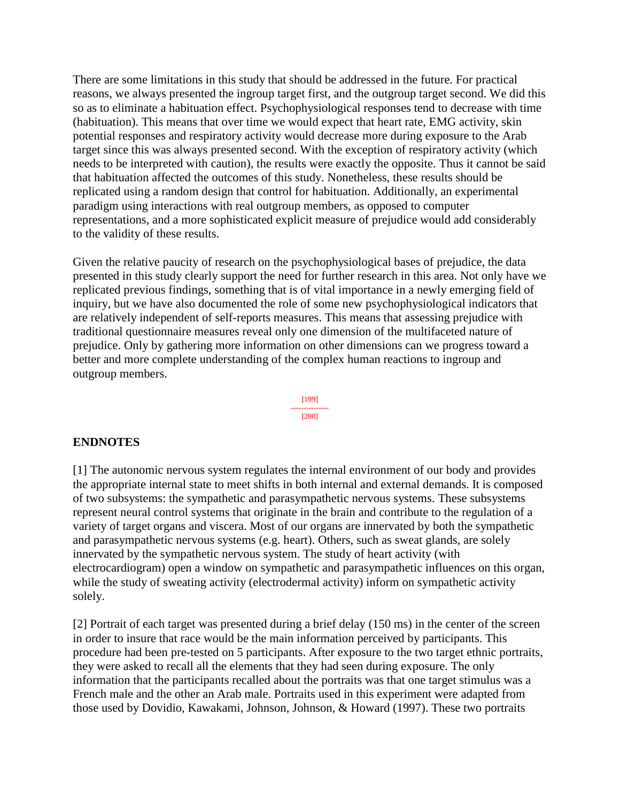There are some limitations in this study that should be addressed in the future. For practical reasons, we always presented the ingroup target first, and the outgroup target second. We did this so as to eliminate a habituation effect. Psychophysiological responses tend to decrease with time (habituation). This means that over time we would expect that heart rate, EMG activity, skin potential responses and respiratory activity would decrease more during exposure to the Arab target since this was always presented second. With the exception of respiratory activity (which needs to be interpreted with caution), the results were exactly the opposite. Thus it cannot be said that habituation affected the outcomes of this study. Nonetheless, these results should be replicated using a random design that control for habituation. Additionally, an experimental paradigm using interactions with real outgroup members, as opposed to computer representations, and a more sophisticated explicit measure of prejudice would add considerably to the validity of these results.

Given the relative paucity of research on the psychophysiological bases of prejudice, the data presented in this study clearly support the need for further research in this area. Not only have we replicated previous findings, something that is of vital importance in a newly emerging field of inquiry, but we have also documented the role of some new psychophysiological indicators that are relatively independent of self-reports measures. This means that assessing prejudice with traditional questionnaire measures reveal only one dimension of the multifaceted nature of prejudice. Only by gathering more information on other dimensions can we progress toward a better and more complete understanding of the complex human reactions to ingroup and outgroup members.

> [199] --------------- [200]

#### **ENDNOTES**

[1] The autonomic nervous system regulates the internal environment of our body and provides the appropriate internal state to meet shifts in both internal and external demands. It is composed of two subsystems: the sympathetic and parasympathetic nervous systems. These subsystems represent neural control systems that originate in the brain and contribute to the regulation of a variety of target organs and viscera. Most of our organs are innervated by both the sympathetic and parasympathetic nervous systems (e.g. heart). Others, such as sweat glands, are solely innervated by the sympathetic nervous system. The study of heart activity (with electrocardiogram) open a window on sympathetic and parasympathetic influences on this organ, while the study of sweating activity (electrodermal activity) inform on sympathetic activity solely.

[2] Portrait of each target was presented during a brief delay (150 ms) in the center of the screen in order to insure that race would be the main information perceived by participants. This procedure had been pre-tested on 5 participants. After exposure to the two target ethnic portraits, they were asked to recall all the elements that they had seen during exposure. The only information that the participants recalled about the portraits was that one target stimulus was a French male and the other an Arab male. Portraits used in this experiment were adapted from those used by Dovidio, Kawakami, Johnson, Johnson, & Howard (1997). These two portraits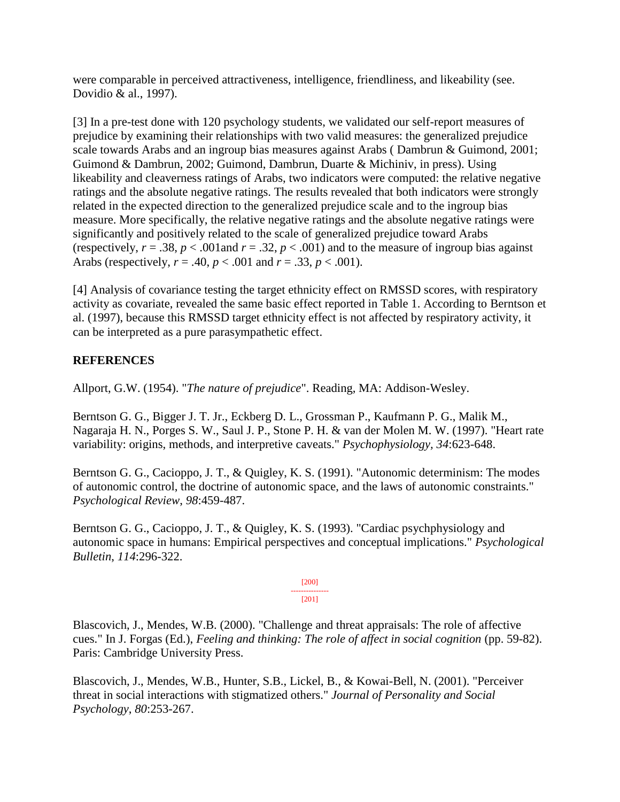were comparable in perceived attractiveness, intelligence, friendliness, and likeability (see. Dovidio & al., 1997).

[3] In a pre-test done with 120 psychology students, we validated our self-report measures of prejudice by examining their relationships with two valid measures: the generalized prejudice scale towards Arabs and an ingroup bias measures against Arabs ( Dambrun & Guimond, 2001; Guimond & Dambrun, 2002; Guimond, Dambrun, Duarte & Michiniv, in press). Using likeability and cleaverness ratings of Arabs, two indicators were computed: the relative negative ratings and the absolute negative ratings. The results revealed that both indicators were strongly related in the expected direction to the generalized prejudice scale and to the ingroup bias measure. More specifically, the relative negative ratings and the absolute negative ratings were significantly and positively related to the scale of generalized prejudice toward Arabs (respectively,  $r = .38$ ,  $p < .001$  and  $r = .32$ ,  $p < .001$ ) and to the measure of ingroup bias against Arabs (respectively,  $r = .40$ ,  $p < .001$  and  $r = .33$ ,  $p < .001$ ).

[4] Analysis of covariance testing the target ethnicity effect on RMSSD scores, with respiratory activity as covariate, revealed the same basic effect reported in Table 1. According to Berntson et al. (1997), because this RMSSD target ethnicity effect is not affected by respiratory activity, it can be interpreted as a pure parasympathetic effect.

# **REFERENCES**

Allport, G.W. (1954). "*The nature of prejudice*". Reading, MA: Addison-Wesley.

Berntson G. G., Bigger J. T. Jr., Eckberg D. L., Grossman P., Kaufmann P. G., Malik M., Nagaraja H. N., Porges S. W., Saul J. P., Stone P. H. & van der Molen M. W. (1997). "Heart rate variability: origins, methods, and interpretive caveats." *Psychophysiology, 34*:623-648.

Berntson G. G., Cacioppo, J. T., & Quigley, K. S. (1991). "Autonomic determinism: The modes of autonomic control, the doctrine of autonomic space, and the laws of autonomic constraints." *Psychological Review*, *98*:459-487.

Berntson G. G., Cacioppo, J. T., & Quigley, K. S. (1993). "Cardiac psychphysiology and autonomic space in humans: Empirical perspectives and conceptual implications." *Psychological Bulletin*, *114*:296-322.

> [200] --------------- [201]

Blascovich, J., Mendes, W.B. (2000). "Challenge and threat appraisals: The role of affective cues." In J. Forgas (Ed.), *Feeling and thinking: The role of affect in social cognition* (pp. 59-82). Paris: Cambridge University Press.

Blascovich, J., Mendes, W.B., Hunter, S.B., Lickel, B., & Kowai-Bell, N. (2001). "Perceiver threat in social interactions with stigmatized others." *Journal of Personality and Social Psychology*, *80*:253-267.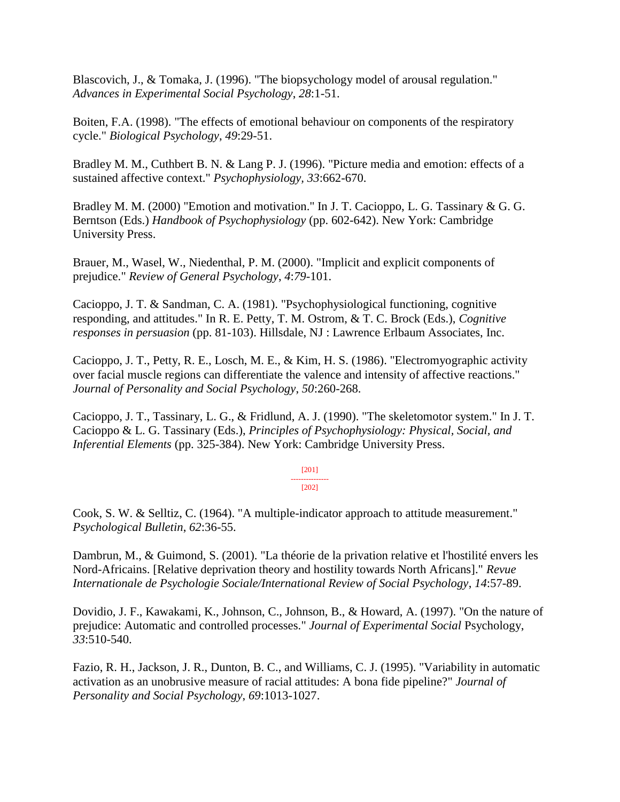Blascovich, J., & Tomaka, J. (1996). "The biopsychology model of arousal regulation." *Advances in Experimental Social Psychology*, *28*:1-51.

Boiten, F.A. (1998). "The effects of emotional behaviour on components of the respiratory cycle." *Biological Psychology*, *49*:29-51.

Bradley M. M., Cuthbert B. N. & Lang P. J. (1996). "Picture media and emotion: effects of a sustained affective context." *Psychophysiology, 33*:662-670.

Bradley M. M. (2000) "Emotion and motivation." In J. T. Cacioppo, L. G. Tassinary & G. G. Berntson (Eds.) *Handbook of Psychophysiology* (pp. 602-642). New York: Cambridge University Press.

Brauer, M., Wasel, W., Niedenthal, P. M. (2000). "Implicit and explicit components of prejudice." *Review of General Psychology*, *4*:*79*-101.

Cacioppo, J. T. & Sandman, C. A. (1981). "Psychophysiological functioning, cognitive responding, and attitudes." In R. E. Petty, T. M. Ostrom, & T. C. Brock (Eds.), *Cognitive responses in persuasion* (pp. 81-103). Hillsdale, NJ : Lawrence Erlbaum Associates, Inc.

Cacioppo, J. T., Petty, R. E., Losch, M. E., & Kim, H. S. (1986). "Electromyographic activity over facial muscle regions can differentiate the valence and intensity of affective reactions." *Journal of Personality and Social Psychology*, *50*:260-268.

Cacioppo, J. T., Tassinary, L. G., & Fridlund, A. J. (1990). "The skeletomotor system." In J. T. Cacioppo & L. G. Tassinary (Eds.), *Principles of Psychophysiology: Physical, Social, and Inferential Elements* (pp. 325-384). New York: Cambridge University Press.

#### [201] ---------------  $[202]$

Cook, S. W. & Selltiz, C. (1964). "A multiple-indicator approach to attitude measurement." *Psychological Bulletin*, *62*:36-55.

Dambrun, M., & Guimond, S. (2001). "La théorie de la privation relative et l'hostilité envers les Nord-Africains. [Relative deprivation theory and hostility towards North Africans]." *Revue Internationale de Psychologie Sociale/International Review of Social Psychology*, *14*:57-89.

Dovidio, J. F., Kawakami, K., Johnson, C., Johnson, B., & Howard, A. (1997). "On the nature of prejudice: Automatic and controlled processes." *Journal of Experimental Social* Psychology, *33*:510-540.

Fazio, R. H., Jackson, J. R., Dunton, B. C., and Williams, C. J. (1995). "Variability in automatic activation as an unobrusive measure of racial attitudes: A bona fide pipeline?" *Journal of Personality and Social Psychology*, *69*:1013-1027.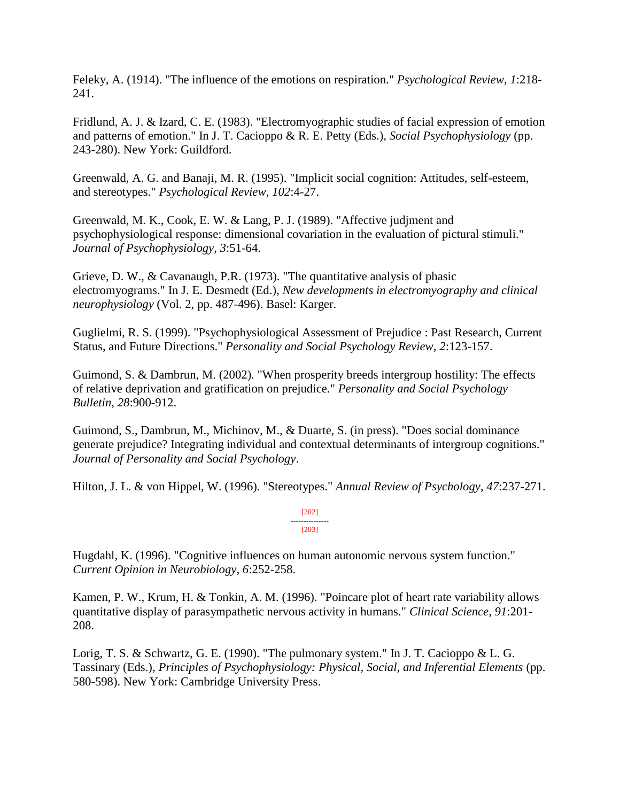Feleky, A. (1914). "The influence of the emotions on respiration." *Psychological Review*, *1*:218- 241.

Fridlund, A. J. & Izard, C. E. (1983). "Electromyographic studies of facial expression of emotion and patterns of emotion." In J. T. Cacioppo & R. E. Petty (Eds.), *Social Psychophysiology* (pp. 243-280). New York: Guildford.

Greenwald, A. G. and Banaji, M. R. (1995). "Implicit social cognition: Attitudes, self-esteem, and stereotypes." *Psychological Review*, *102*:4-27.

Greenwald, M. K., Cook, E. W. & Lang, P. J. (1989). "Affective judjment and psychophysiological response: dimensional covariation in the evaluation of pictural stimuli." *Journal of Psychophysiology*, *3*:51-64.

Grieve, D. W., & Cavanaugh, P.R. (1973). "The quantitative analysis of phasic electromyograms." In J. E. Desmedt (Ed.), *New developments in electromyography and clinical neurophysiology* (Vol. 2, pp. 487-496). Basel: Karger.

Guglielmi, R. S. (1999). "Psychophysiological Assessment of Prejudice : Past Research, Current Status, and Future Directions." *Personality and Social Psychology Review, 2*:123-157.

Guimond, S. & Dambrun, M. (2002). "When prosperity breeds intergroup hostility: The effects of relative deprivation and gratification on prejudice." *Personality and Social Psychology Bulletin*, *28*:900-912.

Guimond, S., Dambrun, M., Michinov, M., & Duarte, S. (in press). "Does social dominance generate prejudice? Integrating individual and contextual determinants of intergroup cognitions." *Journal of Personality and Social Psychology*.

Hilton, J. L. & von Hippel, W. (1996). "Stereotypes." *Annual Review of Psychology*, *47*:237-271.

[202] --------------- [203]

Hugdahl, K. (1996). "Cognitive influences on human autonomic nervous system function." *Current Opinion in Neurobiology*, *6*:252-258.

Kamen, P. W., Krum, H. & Tonkin, A. M. (1996). "Poincare plot of heart rate variability allows quantitative display of parasympathetic nervous activity in humans." *Clinical Science*, *91*:201- 208.

Lorig, T. S. & Schwartz, G. E. (1990). "The pulmonary system." In J. T. Cacioppo & L. G. Tassinary (Eds.), *Principles of Psychophysiology: Physical, Social, and Inferential Elements* (pp. 580-598). New York: Cambridge University Press.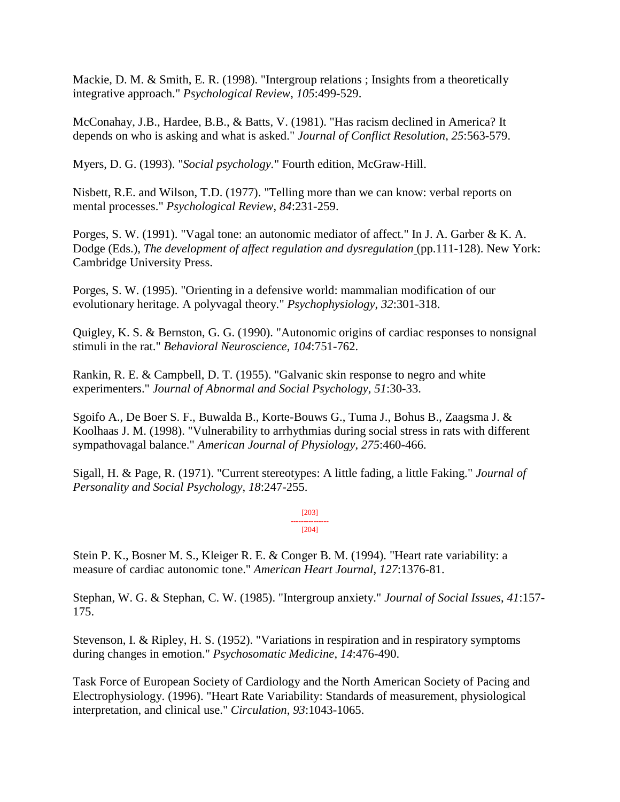Mackie, D. M. & Smith, E. R. (1998). "Intergroup relations ; Insights from a theoretically integrative approach." *Psychological Review*, *105*:499-529.

McConahay, J.B., Hardee, B.B., & Batts, V. (1981). "Has racism declined in America? It depends on who is asking and what is asked." *Journal of Conflict Resolution*, *25*:563-579.

Myers, D. G. (1993). "*Social psychology.*" Fourth edition, McGraw-Hill.

Nisbett, R.E. and Wilson, T.D. (1977). "Telling more than we can know: verbal reports on mental processes." *Psychological Review*, *84*:231-259.

Porges, S. W. (1991). "Vagal tone: an autonomic mediator of affect." In J. A. Garber & K. A. Dodge (Eds.), *The development of affect regulation and dysregulation* (pp.111-128). New York: Cambridge University Press.

Porges, S. W. (1995). "Orienting in a defensive world: mammalian modification of our evolutionary heritage. A polyvagal theory." *Psychophysiology*, *32*:301-318.

Quigley, K. S. & Bernston, G. G. (1990). "Autonomic origins of cardiac responses to nonsignal stimuli in the rat." *Behavioral Neuroscience, 104*:751-762.

Rankin, R. E. & Campbell, D. T. (1955). "Galvanic skin response to negro and white experimenters." *Journal of Abnormal and Social Psychology*, *51*:30-33.

Sgoifo A., De Boer S. F., Buwalda B., Korte-Bouws G., Tuma J., Bohus B., Zaagsma J. & Koolhaas J. M. (1998). "Vulnerability to arrhythmias during social stress in rats with different sympathovagal balance." *American Journal of Physiology*, *275*:460-466.

Sigall, H. & Page, R. (1971). "Current stereotypes: A little fading, a little Faking." *Journal of Personality and Social Psychology*, *18*:247-255.

> [203] --------------- [204]

Stein P. K., Bosner M. S., Kleiger R. E. & Conger B. M. (1994). "Heart rate variability: a measure of cardiac autonomic tone." *American Heart Journal*, *127*:1376-81.

Stephan, W. G. & Stephan, C. W. (1985). "Intergroup anxiety." *Journal of Social Issues*, *41*:157- 175.

Stevenson, I. & Ripley, H. S. (1952). "Variations in respiration and in respiratory symptoms during changes in emotion." *Psychosomatic Medicine*, *14*:476-490.

Task Force of European Society of Cardiology and the North American Society of Pacing and Electrophysiology. (1996). "Heart Rate Variability: Standards of measurement, physiological interpretation, and clinical use." *Circulation*, *93*:1043-1065.